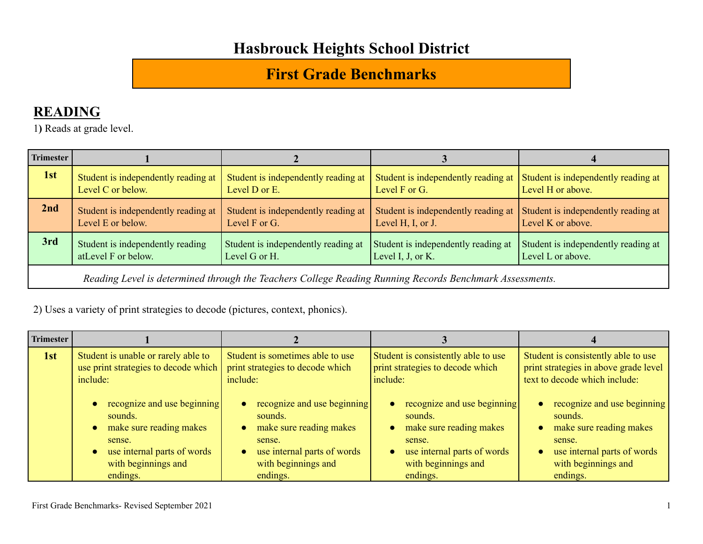#### **First Grade Benchmarks**

#### **READING**

1**)** Reads at grade level.

| Trimester                                                                                                                                                                                                                                      |                                                          |                                                      |                   |                                                                                                      |  |
|------------------------------------------------------------------------------------------------------------------------------------------------------------------------------------------------------------------------------------------------|----------------------------------------------------------|------------------------------------------------------|-------------------|------------------------------------------------------------------------------------------------------|--|
| 1st                                                                                                                                                                                                                                            | Student is independently reading at<br>Level C or below. | Student is independently reading at<br>Level D or E. | Level F or G.     | Student is independently reading at $\vert$ Student is independently reading at<br>Level H or above. |  |
| 2nd                                                                                                                                                                                                                                            | Student is independently reading at<br>Level E or below. | Student is independently reading at<br>Level F or G. | Level H, I, or J. | Student is independently reading at Student is independently reading at<br>Level K or above.         |  |
| 3rd<br>Student is independently reading<br>Student is independently reading at<br>Student is independently reading at<br>Student is independently reading at<br>atLevel F or below.<br>Level I, J, or K.<br>Level L or above.<br>Level G or H. |                                                          |                                                      |                   |                                                                                                      |  |
| Reading Level is determined through the Teachers College Reading Running Records Benchmark Assessments.                                                                                                                                        |                                                          |                                                      |                   |                                                                                                      |  |

2) Uses a variety of print strategies to decode (pictures, context, phonics).

| Trimester |                                                                                                                                               |                                                                                                                                               |                                                                                                                                                                         |                                                                                                                                               |
|-----------|-----------------------------------------------------------------------------------------------------------------------------------------------|-----------------------------------------------------------------------------------------------------------------------------------------------|-------------------------------------------------------------------------------------------------------------------------------------------------------------------------|-----------------------------------------------------------------------------------------------------------------------------------------------|
| 1st       | Student is unable or rarely able to<br>use print strategies to decode which<br>include:                                                       | Student is sometimes able to use<br>print strategies to decode which<br>include:                                                              | Student is consistently able to use<br>print strategies to decode which<br>include:                                                                                     | Student is consistently able to use<br>print strategies in above grade level<br>text to decode which include:                                 |
|           | recognize and use beginning<br>sounds.<br>make sure reading makes<br>sense.<br>use internal parts of words<br>with beginnings and<br>endings. | recognize and use beginning<br>sounds.<br>make sure reading makes<br>sense.<br>use internal parts of words<br>with beginnings and<br>endings. | recognize and use beginning<br>sounds.<br>make sure reading makes<br>$\bullet$<br>sense.<br>use internal parts of words<br>$\bullet$<br>with beginnings and<br>endings. | recognize and use beginning<br>sounds.<br>make sure reading makes<br>sense.<br>use internal parts of words<br>with beginnings and<br>endings. |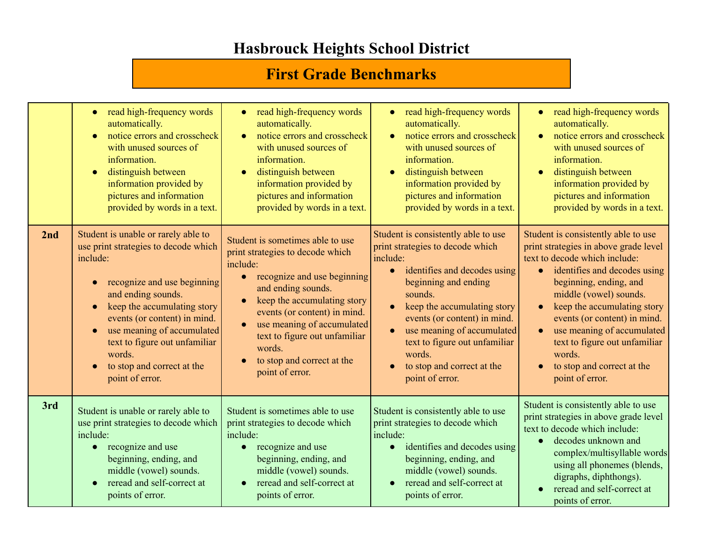#### **First Grade Benchmarks**

|     | read high-frequency words<br>$\bullet$<br>automatically.<br>notice errors and crosscheck<br>with unused sources of<br>information.<br>distinguish between<br>$\bullet$<br>information provided by<br>pictures and information<br>provided by words in a text.                                                                                                                | read high-frequency words<br>automatically.<br>notice errors and crosscheck<br>$\bullet$<br>with unused sources of<br>information.<br>distinguish between<br>$\bullet$<br>information provided by<br>pictures and information<br>provided by words in a text.                                                                                            | read high-frequency words<br>$\bullet$<br>automatically.<br>notice errors and crosscheck<br>with unused sources of<br>information.<br>distinguish between<br>$\bullet$<br>information provided by<br>pictures and information<br>provided by words in a text.                                                                                                | read high-frequency words<br>$\bullet$<br>automatically.<br>notice errors and crosscheck<br>with unused sources of<br>information.<br>distinguish between<br>information provided by<br>pictures and information<br>provided by words in a text.                                                                                                                                                                                  |
|-----|------------------------------------------------------------------------------------------------------------------------------------------------------------------------------------------------------------------------------------------------------------------------------------------------------------------------------------------------------------------------------|----------------------------------------------------------------------------------------------------------------------------------------------------------------------------------------------------------------------------------------------------------------------------------------------------------------------------------------------------------|--------------------------------------------------------------------------------------------------------------------------------------------------------------------------------------------------------------------------------------------------------------------------------------------------------------------------------------------------------------|-----------------------------------------------------------------------------------------------------------------------------------------------------------------------------------------------------------------------------------------------------------------------------------------------------------------------------------------------------------------------------------------------------------------------------------|
| 2nd | Student is unable or rarely able to<br>use print strategies to decode which<br>include:<br>recognize and use beginning<br>$\bullet$<br>and ending sounds.<br>keep the accumulating story<br>$\bullet$<br>events (or content) in mind.<br>use meaning of accumulated<br>$\bullet$<br>text to figure out unfamiliar<br>words.<br>to stop and correct at the<br>point of error. | Student is sometimes able to use<br>print strategies to decode which<br>include:<br>recognize and use beginning<br>and ending sounds.<br>keep the accumulating story<br>$\bullet$<br>events (or content) in mind.<br>use meaning of accumulated<br>$\bullet$<br>text to figure out unfamiliar<br>words.<br>to stop and correct at the<br>point of error. | Student is consistently able to use<br>print strategies to decode which<br>include:<br>identifies and decodes using<br>$\bullet$<br>beginning and ending<br>sounds.<br>keep the accumulating story<br>events (or content) in mind.<br>use meaning of accumulated<br>text to figure out unfamiliar<br>words.<br>to stop and correct at the<br>point of error. | Student is consistently able to use<br>print strategies in above grade level<br>text to decode which include:<br>identifies and decodes using<br>$\bullet$<br>beginning, ending, and<br>middle (vowel) sounds.<br>keep the accumulating story<br>$\bullet$<br>events (or content) in mind.<br>use meaning of accumulated<br>$\bullet$<br>text to figure out unfamiliar<br>words.<br>to stop and correct at the<br>point of error. |
| 3rd | Student is unable or rarely able to<br>use print strategies to decode which<br>include:<br>recognize and use<br>beginning, ending, and<br>middle (vowel) sounds.<br>reread and self-correct at<br>points of error.                                                                                                                                                           | Student is sometimes able to use<br>print strategies to decode which<br>include:<br>recognize and use<br>beginning, ending, and<br>middle (vowel) sounds.<br>reread and self-correct at<br>points of error.                                                                                                                                              | Student is consistently able to use<br>print strategies to decode which<br>include:<br>identifies and decodes using<br>$\bullet$<br>beginning, ending, and<br>middle (vowel) sounds.<br>reread and self-correct at<br>points of error.                                                                                                                       | Student is consistently able to use<br>print strategies in above grade level<br>text to decode which include:<br>decodes unknown and<br>$\bullet$<br>complex/multisyllable words<br>using all phonemes (blends,<br>digraphs, diphthongs).<br>reread and self-correct at<br>points of error.                                                                                                                                       |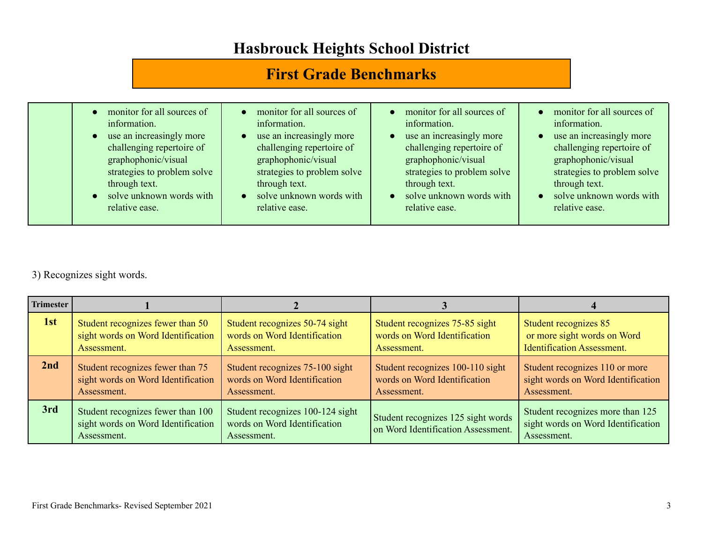## **First Grade Benchmarks**

| monitor for all sources of<br>information.<br>use an increasingly more<br>$\bullet$<br>challenging repertoire of<br>graphophonic/visual<br>strategies to problem solve<br>through text.<br>solve unknown words with<br>$\bullet$<br>relative ease. | monitor for all sources of<br>information.<br>use an increasingly more<br>challenging repertoire of<br>graphophonic/visual<br>strategies to problem solve<br>through text.<br>solve unknown words with<br>relative ease. | monitor for all sources of<br>$\bullet$<br>information.<br>use an increasingly more<br>$\bullet$<br>challenging repertoire of<br>graphophonic/visual<br>strategies to problem solve<br>through text.<br>solve unknown words with<br>$\bullet$<br>relative ease. | monitor for all sources of<br>information.<br>use an increasingly more<br>challenging repertoire of<br>graphophonic/visual<br>strategies to problem solve<br>through text.<br>solve unknown words with<br>relative ease. |
|----------------------------------------------------------------------------------------------------------------------------------------------------------------------------------------------------------------------------------------------------|--------------------------------------------------------------------------------------------------------------------------------------------------------------------------------------------------------------------------|-----------------------------------------------------------------------------------------------------------------------------------------------------------------------------------------------------------------------------------------------------------------|--------------------------------------------------------------------------------------------------------------------------------------------------------------------------------------------------------------------------|
|                                                                                                                                                                                                                                                    |                                                                                                                                                                                                                          |                                                                                                                                                                                                                                                                 |                                                                                                                                                                                                                          |

#### 3) Recognizes sight words.

| <b>Trimester</b> |                                                                                        |                                                                                 |                                                                          |                                                                                       |
|------------------|----------------------------------------------------------------------------------------|---------------------------------------------------------------------------------|--------------------------------------------------------------------------|---------------------------------------------------------------------------------------|
| 1st              | Student recognizes fewer than 50                                                       | Student recognizes 50-74 sight                                                  | Student recognizes 75-85 sight                                           | Student recognizes 85                                                                 |
|                  | sight words on Word Identification                                                     | words on Word Identification                                                    | words on Word Identification                                             | or more sight words on Word                                                           |
|                  | Assessment.                                                                            | Assessment.                                                                     | Assessment.                                                              | <b>Identification Assessment.</b>                                                     |
| 2nd              | Student recognizes fewer than 75                                                       | Student recognizes 75-100 sight                                                 | Student recognizes 100-110 sight                                         | Student recognizes 110 or more                                                        |
|                  | sight words on Word Identification                                                     | words on Word Identification                                                    | words on Word Identification                                             | sight words on Word Identification                                                    |
|                  | Assessment.                                                                            | Assessment.                                                                     | Assessment.                                                              | Assessment.                                                                           |
| 3rd              | Student recognizes fewer than 100<br>sight words on Word Identification<br>Assessment. | Student recognizes 100-124 sight<br>words on Word Identification<br>Assessment. | Student recognizes 125 sight words<br>on Word Identification Assessment. | Student recognizes more than 125<br>sight words on Word Identification<br>Assessment. |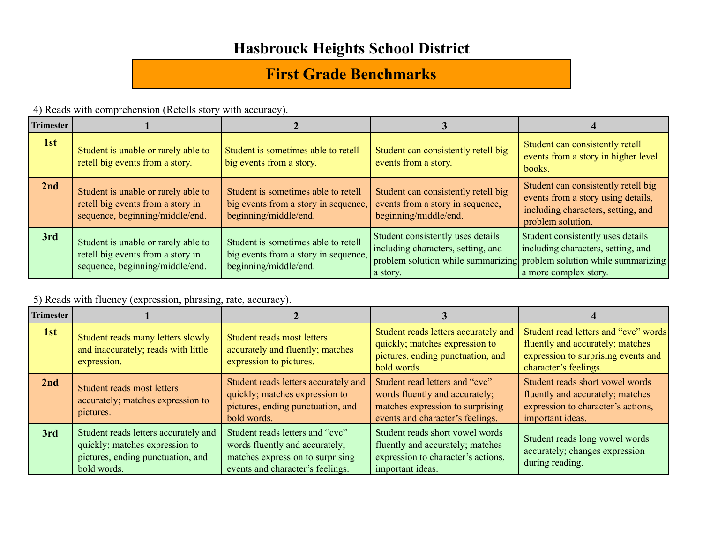## **First Grade Benchmarks**

4) Reads with comprehension (Retells story with accuracy).

| <b>Trimester</b> |                                                                                                             |                                                                                                      |                                                                                                  |                                                                                                                                                                           |
|------------------|-------------------------------------------------------------------------------------------------------------|------------------------------------------------------------------------------------------------------|--------------------------------------------------------------------------------------------------|---------------------------------------------------------------------------------------------------------------------------------------------------------------------------|
| 1st              | Student is unable or rarely able to<br>retell big events from a story.                                      | Student is sometimes able to retell<br>big events from a story.                                      | Student can consistently retell big<br>events from a story.                                      | Student can consistently retell<br>events from a story in higher level<br>books.                                                                                          |
| 2nd              | Student is unable or rarely able to<br>retell big events from a story in<br>sequence, beginning/middle/end. | Student is sometimes able to retell<br>big events from a story in sequence,<br>beginning/middle/end. | Student can consistently retell big<br>events from a story in sequence,<br>beginning/middle/end. | Student can consistently retell big<br>events from a story using details,<br>including characters, setting, and<br>problem solution.                                      |
| 3rd              | Student is unable or rarely able to<br>retell big events from a story in<br>sequence, beginning/middle/end. | Student is sometimes able to retell<br>big events from a story in sequence,<br>beginning/middle/end. | Student consistently uses details<br>including characters, setting, and<br>a story.              | Student consistently uses details<br>including characters, setting, and<br>problem solution while summarizing problem solution while summarizing<br>a more complex story. |

5) Reads with fluency (expression, phrasing, rate, accuracy).

| <b>Trimester</b> |                                                                                                                            |                                                                                                                                           |                                                                                                                                          |                                                                                                                                          |
|------------------|----------------------------------------------------------------------------------------------------------------------------|-------------------------------------------------------------------------------------------------------------------------------------------|------------------------------------------------------------------------------------------------------------------------------------------|------------------------------------------------------------------------------------------------------------------------------------------|
| 1st              | Student reads many letters slowly<br>and inaccurately; reads with little<br>expression.                                    | Student reads most letters<br>accurately and fluently; matches<br>expression to pictures.                                                 | Student reads letters accurately and<br>quickly; matches expression to<br>pictures, ending punctuation, and<br>bold words.               | Student read letters and "cvc" words<br>fluently and accurately; matches<br>expression to surprising events and<br>character's feelings. |
| 2nd              | Student reads most letters<br>accurately; matches expression to<br>pictures.                                               | Student reads letters accurately and<br>quickly; matches expression to<br>pictures, ending punctuation, and<br>bold words.                | Student read letters and "cvc"<br>words fluently and accurately;<br>matches expression to surprising<br>events and character's feelings. | Student reads short vowel words<br>fluently and accurately; matches<br>expression to character's actions,<br>important ideas.            |
| 3rd              | Student reads letters accurately and<br>quickly; matches expression to<br>pictures, ending punctuation, and<br>bold words. | Student reads letters and "cvc"<br>words fluently and accurately;<br>matches expression to surprising<br>events and character's feelings. | Student reads short vowel words<br>fluently and accurately; matches<br>expression to character's actions,<br>important ideas.            | Student reads long vowel words<br>accurately; changes expression<br>during reading.                                                      |